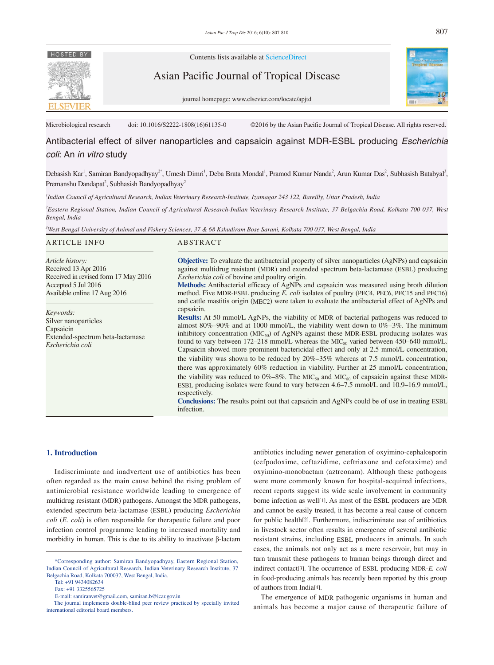# **HOSTED BY**



Contents lists available at ScienceDirect

Asian Pacific Journal of Tropical Disease



journal homepage: www.elsevier.com/locate/apjtd

Microbiological research doi: 10.1016/S2222-1808(16)61135-0 ©2016 by the Asian Pacific Journal of Tropical Disease. All rights reserved.

Antibacterial effect of silver nanoparticles and capsaicin against MDR-ESBL producing *Escherichia coli*: An *in vitro* study

Debasish Kar<sup>1</sup>, Samiran Bandyopadhyay<sup>2\*</sup>, Umesh Dimri<sup>1</sup>, Deba Brata Mondal<sup>1</sup>, Pramod Kumar Nanda<sup>2</sup>, Arun Kumar Das<sup>2</sup>, Subhasish Batabyal<sup>3</sup>, Premanshu Dandapat<sup>2</sup>, Subhasish Bandyopadhyay<sup>2</sup>

*1 Indian Council of Agricultural Research, Indian Veterinary Research-Institute, Izatnagar 243 122, Bareilly, Uttar Pradesh, India*

*2 Eastern Regional Station, Indian Council of Agricultural Research-Indian Veterinary Research Institute, 37 Belgachia Road, Kolkata 700 037, West Bengal, India* 

*3 West Bengal University of Animal and Fishery Sciences, 37 & 68 Kshudiram Bose Sarani, Kolkata 700 037, West Bengal, India* 

| <b>ARTICLE INFO</b>                                                                                    | ABSTRACT                                                                                                                                                                                                                                                                                                                                                                                                                                                                                                                                                                                            |
|--------------------------------------------------------------------------------------------------------|-----------------------------------------------------------------------------------------------------------------------------------------------------------------------------------------------------------------------------------------------------------------------------------------------------------------------------------------------------------------------------------------------------------------------------------------------------------------------------------------------------------------------------------------------------------------------------------------------------|
| Article history:<br>Received 13 Apr 2016                                                               | <b>Objective:</b> To evaluate the antibacterial property of silver nanoparticles (AgNPs) and capsaicin<br>against multidrug resistant (MDR) and extended spectrum beta-lactamase (ESBL) producing                                                                                                                                                                                                                                                                                                                                                                                                   |
| Received in revised form 17 May 2016                                                                   | <i>Escherichia coli</i> of bovine and poultry origin.                                                                                                                                                                                                                                                                                                                                                                                                                                                                                                                                               |
| Accepted 5 Jul 2016<br>Available online 17 Aug 2016                                                    | <b>Methods:</b> Antibacterial efficacy of AgNPs and capsaicin was measured using broth dilution<br>method. Five MDR-ESBL producing E. coli isolates of poultry (PEC4, PEC6, PEC15 and PEC16)<br>and cattle mastitis origin (MEC2) were taken to evaluate the antibacterial effect of AgNPs and                                                                                                                                                                                                                                                                                                      |
| Keywords:<br>Silver nanoparticles<br>Capsaicin<br>Extended-spectrum beta-lactamase<br>Escherichia coli | capsaicin.<br><b>Results:</b> At 50 mmol/L AgNPs, the viability of MDR of bacterial pathogens was reduced to<br>almost 80%–90% and at 1000 mmol/L, the viability went down to 0%–3%. The minimum<br>inhibitory concentration ( $MIC_{s0}$ ) of AgNPs against these MDR-ESBL producing isolates was<br>found to vary between 172–218 mmol/L whereas the MIC <sub>s0</sub> varied between 450–640 mmol/L.<br>Capsaicin showed more prominent bactericidal effect and only at 2.5 mmol/L concentration,<br>the viability was shown to be reduced by $20\% - 35\%$ whereas at 7.5 mmol/L concentration, |
|                                                                                                        | there was approximately 60% reduction in viability. Further at 25 mmol/L concentration,<br>the viability was reduced to 0%–8%. The MIC <sub>50</sub> and MIC <sub>50</sub> of capsaicin against these MDR-<br>ESBL producing isolates were found to vary between 4.6–7.5 mmol/L and 10.9–16.9 mmol/L,                                                                                                                                                                                                                                                                                               |
|                                                                                                        | respectively.<br><b>Conclusions:</b> The results point out that capsaicin and AgNPs could be of use in treating ESBL<br>infection.                                                                                                                                                                                                                                                                                                                                                                                                                                                                  |

## **1. Introduction**

 Indiscriminate and inadvertent use of antibiotics has been often regarded as the main cause behind the rising problem of antimicrobial resistance worldwide leading to emergence of multidrug resistant (MDR) pathogens. Amongst the MDR pathogens, extended spectrum beta-lactamase (ESBL) producing *Escherichia coli* (*E. coli*) is often responsible for therapeutic failure and poor infection control programme leading to increased mortality and morbidity in human. This is due to its ability to inactivate β-lactam antibiotics including newer generation of oxyimino-cephalosporin (cefpodoxime, ceftazidime, ceftriaxone and cefotaxime) and oxyimino-monobactam (aztreonam). Although these pathogens were more commonly known for hospital-acquired infections, recent reports suggest its wide scale involvement in community borne infection as well[1]. As most of the ESBL producers are MDR and cannot be easily treated, it has become a real cause of concern for public health[2]. Furthermore, indiscriminate use of antibiotics in livestock sector often results in emergence of several antibiotic resistant strains, including ESBL producers in animals. In such cases, the animals not only act as a mere reservoir, but may in turn transmit these pathogens to human beings through direct and indirect contact[3]. The occurrence of ESBL producing MDR-*E. coli* in food-producing animals has recently been reported by this group of authors from India[4].

 The emergence of MDR pathogenic organisms in human and animals has become a major cause of therapeutic failure of

 <sup>\*</sup>Corresponding author: Samiran Bandyopadhyay, Eastern Regional Station, Indian Council of Agricultural Research, Indian Veterinary Research Institute, 37 Belgachia Road, Kolkata 700037, West Bengal, India.

Tel: +91 9434082634

Fax: +91 3325565725

E-mail: samiranvet@gmail.com, samiran.b@icar.gov.in

The journal implements double-blind peer review practiced by specially invited international editorial board members.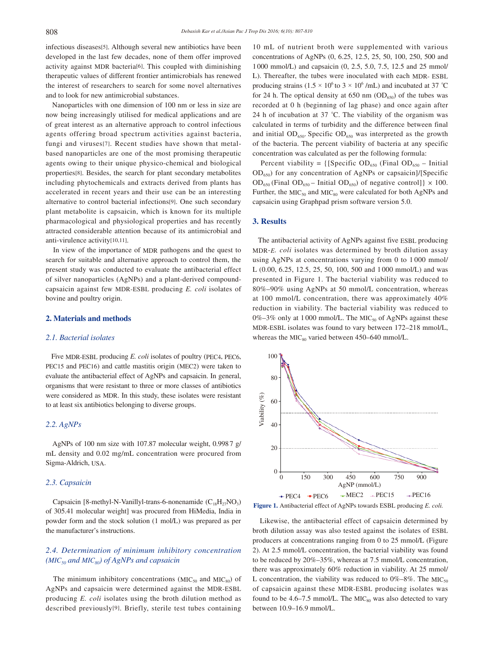infectious diseases[5]. Although several new antibiotics have been developed in the last few decades, none of them offer improved activity against MDR bacteria[6]. This coupled with diminishing therapeutic values of different frontier antimicrobials has renewed the interest of researchers to search for some novel alternatives and to look for new antimicrobial substances.

 Nanoparticles with one dimension of 100 nm or less in size are now being increasingly utilised for medical applications and are of great interest as an alternative approach to control infectious agents offering broad spectrum activities against bacteria, fungi and viruses[7]. Recent studies have shown that metalbased nanoparticles are one of the most promising therapeutic agents owing to their unique physico-chemical and biological properties[8]. Besides, the search for plant secondary metabolites including phytochemicals and extracts derived from plants has accelerated in recent years and their use can be an interesting alternative to control bacterial infections[9]. One such secondary plant metabolite is capsaicin, which is known for its multiple pharmacological and physiological properties and has recently attracted considerable attention because of its antimicrobial and anti-virulence activity[10,11].

 In view of the importance of MDR pathogens and the quest to search for suitable and alternative approach to control them, the present study was conducted to evaluate the antibacterial effect of silver nanoparticles (AgNPs) and a plant-derived compoundcapsaicin against few MDR-ESBL producing *E. coli* isolates of bovine and poultry origin.

## **2. Materials and methods**

## *2.1. Bacterial isolates*

 Five MDR-ESBL producing *E. coli* isolates of poultry (PEC4, PEC6, PEC15 and PEC16) and cattle mastitis origin (MEC2) were taken to evaluate the antibacterial effect of AgNPs and capsaicin. In general, organisms that were resistant to three or more classes of antibiotics were considered as MDR. In this study, these isolates were resistant to at least six antibiotics belonging to diverse groups.

## *2.2. AgNPs*

 AgNPs of 100 nm size with 107.87 molecular weight, 0.9987 g/ mL density and 0.02 mg/mL concentration were procured from Sigma-Aldrich, USA.

# *2.3. Capsaicin*

Capsaicin [8-methyl-N-Vanillyl-trans-6-nonenamide  $(C_{18}H_{27}NO_3)$ of 305.41 molecular weight] was procured from HiMedia, India in powder form and the stock solution (1 mol/L) was prepared as per the manufacturer's instructions.

# *2.4. Determination of minimum inhibitory concentration (MIC50 and MIC80) of AgNPs and capsaicin*

The minimum inhibitory concentrations ( $MIC<sub>50</sub>$  and  $MIC<sub>80</sub>$ ) of AgNPs and capsaicin were determined against the MDR-ESBL producing *E. coli* isolates using the broth dilution method as described previously[9]. Briefly, sterile test tubes containing

10 mL of nutrient broth were supplemented with various concentrations of AgNPs (0, 6.25, 12.5, 25, 50, 100, 250, 500 and 1 000 mmol/L) and capsaicin (0, 2.5, 5.0, 7.5, 12.5 and 25 mmol/ L). Thereafter, the tubes were inoculated with each MDR- ESBL producing strains (1.5  $\times$  10<sup>6</sup> to 3  $\times$  10<sup>6</sup>/mL) and incubated at 37 °C for 24 h. The optical density at 650 nm  $(OD_{650})$  of the tubes was recorded at 0 h (beginning of lag phase) and once again after 24 h of incubation at 37 *°*C. The viability of the organism was calculated in terms of turbidity and the difference between final and initial  $OD_{650}$ . Specific  $OD_{650}$  was interpreted as the growth of the bacteria. The percent viability of bacteria at any specific concentration was calculated as per the following formula:

Percent viability =  $\{$ [Specific OD<sub>650</sub> (Final OD<sub>650</sub> – Initial OD650) for any concentration of AgNPs or capsaicin]/[Specific  $OD_{650}$  (Final  $OD_{650}$  – Initial  $OD_{650}$ ) of negative control]}  $\times$  100. Further, the  $MIC<sub>50</sub>$  and  $MIC<sub>80</sub>$  were calculated for both AgNPs and capsaicin using Graphpad prism software version 5.0.

# **3. Results**

 The antibacterial activity of AgNPs against five ESBL producing MDR-*E. coli* isolates was determined by broth dilution assay using AgNPs at concentrations varying from 0 to 1 000 mmol/ L (0.00, 6.25, 12.5, 25, 50, 100, 500 and 1 000 mmol/L) and was presented in Figure 1. The bacterial viability was reduced to 80%–90% using AgNPs at 50 mmol/L concentration, whereas at 100 mmol/L concentration, there was approximately 40% reduction in viability. The bacterial viability was reduced to 0%–3% only at 1000 mmol/L. The MIC<sub>50</sub> of AgNPs against these MDR-ESBL isolates was found to vary between 172–218 mmol/L, whereas the MIC $_{80}$  varied between 450–640 mmol/L.





 Likewise, the antibacterial effect of capsaicin determined by broth dilution assay was also tested against the isolates of ESBL producers at concentrations ranging from 0 to 25 mmol/L (Figure 2). At 2.5 mmol/L concentration, the bacterial viability was found to be reduced by 20%–35%, whereas at 7.5 mmol/L concentration, there was approximately 60% reduction in viability. At 25 mmol/ L concentration, the viability was reduced to  $0\% - 8\%$ . The MIC<sub>50</sub> of capsaicin against these MDR-ESBL producing isolates was found to be  $4.6-7.5$  mmol/L. The MIC<sub>80</sub> was also detected to vary between 10.9–16.9 mmol/L.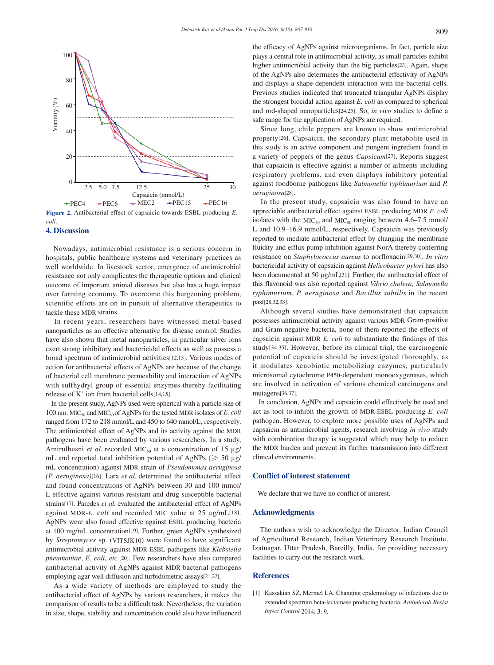

**Figure 2.** Antibacterial effect of capsaicin towards ESBL producing *E. coli.*

#### **4. Discussion**

 Nowadays, antimicrobial resistance is a serious concern in hospitals, public healthcare systems and veterinary practices as well worldwide. In livestock sector, emergence of antimicrobial resistance not only complicates the therapeutic options and clinical outcome of important animal diseases but also has a huge impact over farming economy. To overcome this burgeoning problem, scientific efforts are on in pursuit of alternative therapeutics to tackle these MDR strains.

 In recent years, researchers have witnessed metal-based nanoparticles as an effective alternative for disease control. Studies have also shown that metal nanoparticles, in particular silver ions exert strong inhibitory and bactericidal effects as well as possess a broad spectrum of antimicrobial activities[12,13]. Various modes of action for antibacterial effects of AgNPs are because of the change of bacterial cell membrane permeability and interaction of AgNPs with sulfhydryl group of essential enzymes thereby facilitating release of  $K^+$  ion from bacterial cells[14,15].

 In the present study, AgNPs used were spherical with a particle size of 100 nm. MIC<sub>50</sub> and MIC<sub>80</sub> of AgNPs for the tested MDR isolates of *E. coli* ranged from 172 to 218 mmol/L and 450 to 640 mmol/L, respectively. The antimicrobial effect of AgNPs and its activity against the MDR pathogens have been evaluated by various researchers. In a study, Amirulhusni *et al.* recorded MIC<sub>50</sub> at a concentration of 15  $\mu$ g/ mL and reported total inhibition potential of AgNPs ( $\geq 50 \text{ µg}$ / mL concentration) against MDR strain of *Pseudomonas aeruginosa (P. aeruginosa)*[16]. Lara *et al.* determined the antibacterial effect and found concentrations of AgNPs between 30 and 100 mmol/ L effective against various resistant and drug susceptible bacterial strains[17]. Paredes *et al.* evaluated the antibacterial effect of AgNPs against MDR-*E*. *coli* and recorded MIC value at 25 µg/mL[18]. AgNPs were also found effective against ESBL producing bacteria at 100 mg/mL concentration[19]. Further, green AgNPs synthesized by *Streptomyces* sp. (VITSJK10) were found to have significant antimicrobial activity against MDR-ESBL pathogens like *Klebsiella pneumoniae*, *E. coli*, *etc.*[20]. Few researchers have also compared antibacterial activity of AgNPs against MDR bacterial pathogens employing agar well diffusion and turbidometric assays[21,22].

 As a wide variety of methods are employed to study the antibacterial effect of AgNPs by various researchers, it makes the comparison of results to be a difficult task. Nevertheless, the variation in size, shape, stability and concentration could also have influenced the efficacy of AgNPs against microorganisms. In fact, particle size plays a central role in antimicrobial activity, as small particles exhibit higher antimicrobial activity than the big particles[23]. Again, shape of the AgNPs also determines the antibacterial effectivity of AgNPs and displays a shape-dependent interaction with the bacterial cells. Previous studies indicated that truncated triangular AgNPs display the strongest biocidal action against *E. coli* as compared to spherical and rod-shaped nanoparticles[24,25]. So, *in vivo* studies to define a safe range for the application of AgNPs are required.

 Since long, chile peppers are known to show antimicrobial property[26]. Capsaicin, the secondary plant metabolite used in this study is an active component and pungent ingredient found in a variety of peppers of the genus *Capsicum*[27]. Reports suggest that capsaicin is effective against a number of ailments including respiratory problems, and even displays inhibitory potential against foodborne pathogens like *Salmonella typhimurium* and *P. aeruginosa*[28].

 In the present study, capsaicin was also found to have an appreciable antibacterial effect against ESBL producing MDR *E. coli* isolates with the  $MIC<sub>50</sub>$  and  $MIC<sub>80</sub>$  ranging between 4.6–7.5 mmol/ L and 10.9–16.9 mmol/L, respectively. Capsaicin was previously reported to mediate antibacterial effect by changing the membrane fluidity and efflux pump inhibition against NorA thereby conferring resistance on *Staphylococcus aureus* to norfloxacin[29,30]. *In vitro* bactericidal activity of capsaicin against *Helicobacter pylori* has also been documented at 50 µg/mL[31]. Further, the antibacterial effect of this flavonoid was also reported against *Vibrio cholera*, *Salmonella typhimurium*, *P. aeruginosa* and *Bacillus subtilis* in the recent past[28,32,33].

 Although several studies have demonstrated that capsaicin possesses antimicrobial activity against various MDR Gram-positive and Gram-negative bacteria, none of them reported the effects of capsaicin against MDR *E. coli* to substantiate the findings of this study[34,35]. However, before its clinical trial, the carcinogenic potential of capsaicin should be investigated thoroughly, as it modulates xenobiotic metabolizing enzymes, particularly microsomal cytochrome P450-dependent monooxygenases, which are involved in activation of various chemical carcinogens and mutagens[36,37].

 In conclusion, AgNPs and capsaicin could effectively be used and act as tool to inhibit the growth of MDR-ESBL producing *E. coli* pathogen. However, to explore more possible uses of AgNPs and capsaicin as antimicrobial agents, research involving *in vivo* study with combination therapy is suggested which may help to reduce the MDR burden and prevent its further transmission into different clinical environments.

# **Conflict of interest statement**

We declare that we have no conflict of interest.

## **Acknowledgments**

 The authors wish to acknowledge the Director, Indian Council of Agricultural Research, Indian Veterinary Research Institute, Izatnagar, Uttar Pradesh, Bareilly, India, for providing necessary facilities to carry out the research work.

# **References**

[1] Kassakian SZ, Mermel LA. Changing epidemiology of infections due to extended spectrum beta-lactamase producing bacteria. *Antimicrob Resist Infect Control* 2014; **3**: 9.